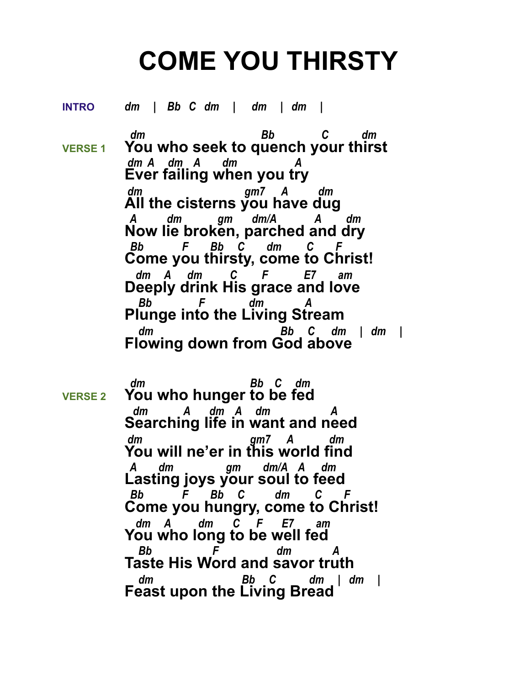## **COME YOU THIRSTY**

**INTRO** *dm | Bb C dm | dm | dm |*

 *dm Bb C dm*  **VERSE 1 You who seek to quench your thirst**  *dm A dm A dm A* **Ever failing when you try**  *dm gm7 A dm* **All the cisterns you have dug**  *A dm gm dm/A A dm* **Now lie broken, parched and dry**  *Bb F Bb C dm C F* **Come you thirsty, come to Christ!**  *dm A dm C F E7 am* **Deeply drink His grace and love**  *Bb F dm A* **Plunge into the Living Stream**  *dm Bb C dm | dm |* **Flowing down from God above**

 *dm Bb C dm*  **VERSE 2 You who hunger to be fed**  *dm A dm A dm A* **Searching life in want and need**  *dm gm7 A dm* **You will ne'er in this world find**  *A dm gm dm/A A dm* **Lasting joys your soul to feed**  *Bb F Bb C dm C F* **Come you hungry, come to Christ!**  *dm A dm C F E7 am* **You who long to be well fed**  *Bb F dm A* **Taste His Word and savor truth**  *dm Bb C dm | dm |* **Feast upon the Living Bread**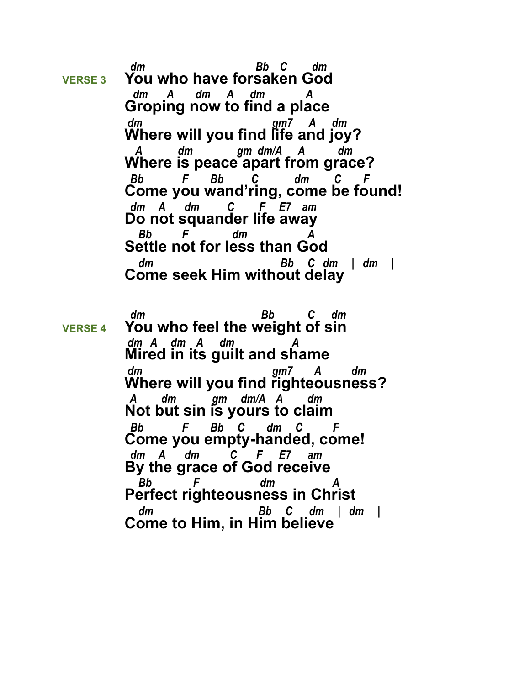*dm Bb C dm*  **VERSE 3 You who have forsaken God**  *dm A dm A dm A* **Groping now to find a place**  *dm gm7 A dm* **Where will you find life and joy?**  *A dm gm dm/A A dm* **Where is peace apart from grace?**  *Bb F Bb C dm C F* **Come you wand'ring, come be found!**  *dm A dm C F E7 am* **Do not squander life away**  *Bb F dm A* **Settle not for less than God**  *dm Bb C dm | dm |* **Come seek Him without delay**

 *dm Bb C dm*  **VERSE 4 You who feel the weight of sin**  *dm A dm A dm A* **Mired in its guilt and shame**  *dm gm7 A dm* **Where will you find righteousness?**  *A dm gm dm/A A dm* **Not but sin is yours to claim**  *Bb F Bb C dm C F* **Come you empty-handed, come!**  *dm A dm C F E7 am* **By the grace of God receive**  *Bb F dm A* **Perfect righteousness in Christ**  *dm Bb C dm | dm |* **Come to Him, in Him believe**